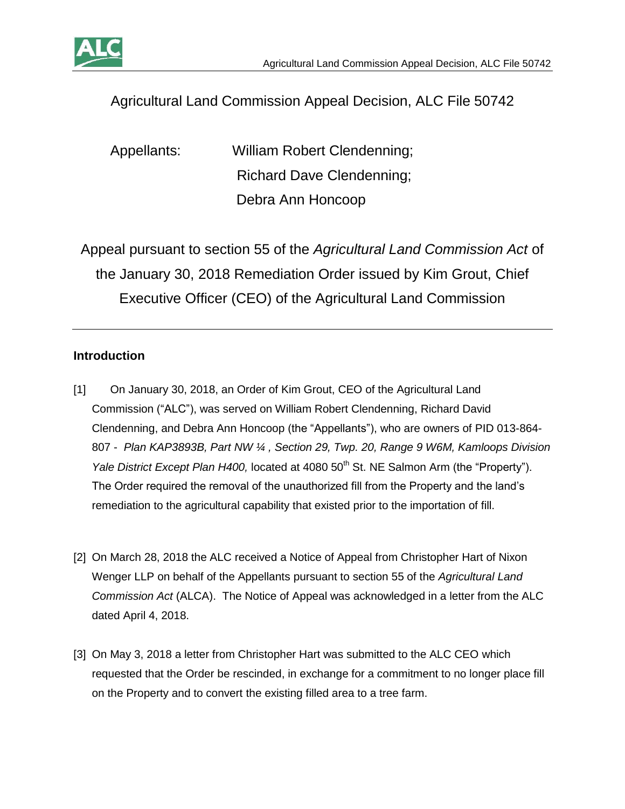

# Agricultural Land Commission Appeal Decision, ALC File 50742

Appellants: William Robert Clendenning; Richard Dave Clendenning; Debra Ann Honcoop

Appeal pursuant to section 55 of the *Agricultural Land Commission Act* of the January 30, 2018 Remediation Order issued by Kim Grout, Chief Executive Officer (CEO) of the Agricultural Land Commission

## **Introduction**

- [1] On January 30, 2018, an Order of Kim Grout, CEO of the Agricultural Land Commission ("ALC"), was served on William Robert Clendenning, Richard David Clendenning, and Debra Ann Honcoop (the "Appellants"), who are owners of PID 013-864- 807 - *Plan KAP3893B, Part NW ¼ , Section 29, Twp. 20, Range 9 W6M, Kamloops Division Yale District Except Plan H400*, located at 4080 50<sup>th</sup> St. NE Salmon Arm (the "Property"). The Order required the removal of the unauthorized fill from the Property and the land's remediation to the agricultural capability that existed prior to the importation of fill.
- [2] On March 28, 2018 the ALC received a Notice of Appeal from Christopher Hart of Nixon Wenger LLP on behalf of the Appellants pursuant to section 55 of the *Agricultural Land Commission Act* (ALCA). The Notice of Appeal was acknowledged in a letter from the ALC dated April 4, 2018.
- [3] On May 3, 2018 a letter from Christopher Hart was submitted to the ALC CEO which requested that the Order be rescinded, in exchange for a commitment to no longer place fill on the Property and to convert the existing filled area to a tree farm.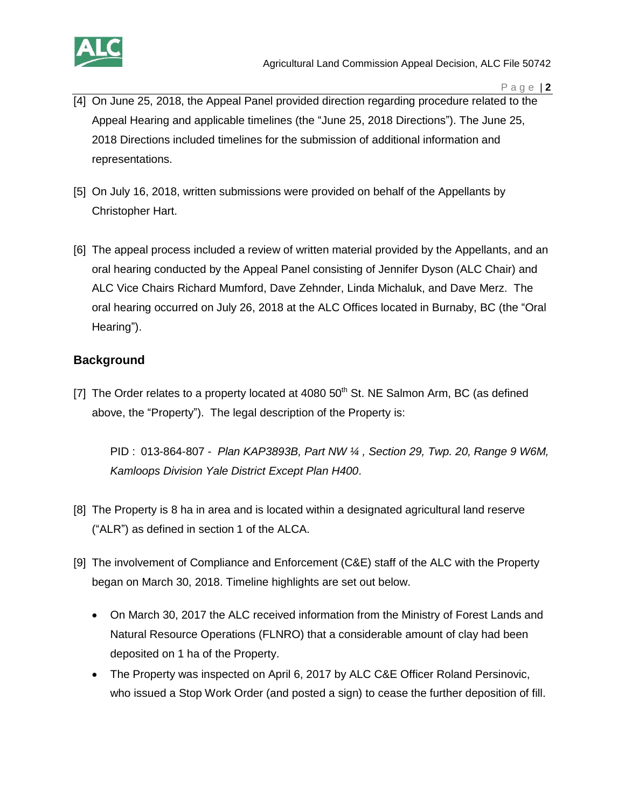

- [4] On June 25, 2018, the Appeal Panel provided direction regarding procedure related to the Appeal Hearing and applicable timelines (the "June 25, 2018 Directions"). The June 25, 2018 Directions included timelines for the submission of additional information and representations.
- [5] On July 16, 2018, written submissions were provided on behalf of the Appellants by Christopher Hart.
- [6] The appeal process included a review of written material provided by the Appellants, and an oral hearing conducted by the Appeal Panel consisting of Jennifer Dyson (ALC Chair) and ALC Vice Chairs Richard Mumford, Dave Zehnder, Linda Michaluk, and Dave Merz. The oral hearing occurred on July 26, 2018 at the ALC Offices located in Burnaby, BC (the "Oral Hearing").

#### **Background**

[7] The Order relates to a property located at 4080  $50<sup>th</sup>$  St. NE Salmon Arm, BC (as defined above, the "Property"). The legal description of the Property is:

PID : 013-864-807 - *Plan KAP3893B, Part NW ¼ , Section 29, Twp. 20, Range 9 W6M, Kamloops Division Yale District Except Plan H400*.

- [8] The Property is 8 ha in area and is located within a designated agricultural land reserve ("ALR") as defined in section 1 of the ALCA.
- [9] The involvement of Compliance and Enforcement (C&E) staff of the ALC with the Property began on March 30, 2018. Timeline highlights are set out below.
	- On March 30, 2017 the ALC received information from the Ministry of Forest Lands and Natural Resource Operations (FLNRO) that a considerable amount of clay had been deposited on 1 ha of the Property.
	- The Property was inspected on April 6, 2017 by ALC C&E Officer Roland Persinovic, who issued a Stop Work Order (and posted a sign) to cease the further deposition of fill.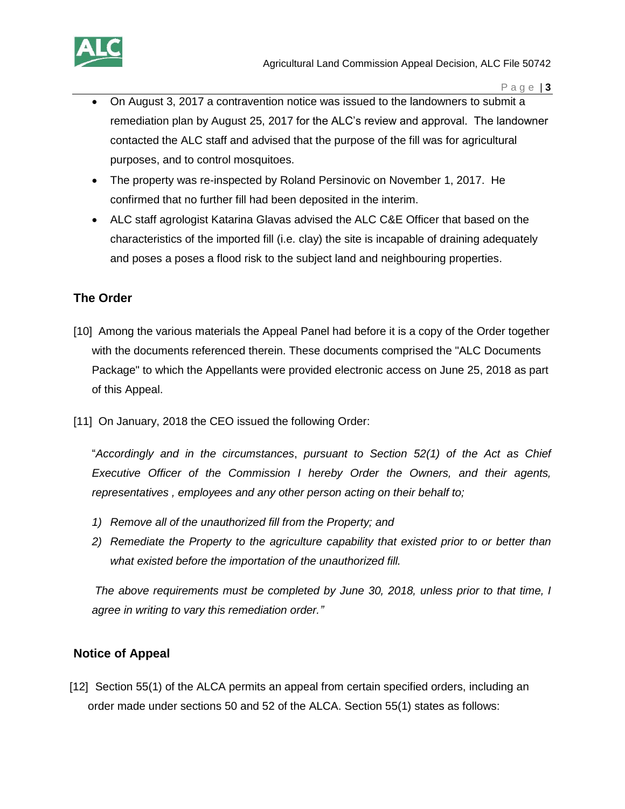- On August 3, 2017 a contravention notice was issued to the landowners to submit a remediation plan by August 25, 2017 for the ALC's review and approval. The landowner contacted the ALC staff and advised that the purpose of the fill was for agricultural purposes, and to control mosquitoes.
- The property was re-inspected by Roland Persinovic on November 1, 2017. He confirmed that no further fill had been deposited in the interim.
- ALC staff agrologist Katarina Glavas advised the ALC C&E Officer that based on the characteristics of the imported fill (i.e. clay) the site is incapable of draining adequately and poses a poses a flood risk to the subject land and neighbouring properties.

## **The Order**

- [10] Among the various materials the Appeal Panel had before it is a copy of the Order together with the documents referenced therein. These documents comprised the "ALC Documents Package" to which the Appellants were provided electronic access on June 25, 2018 as part of this Appeal.
- [11] On January, 2018 the CEO issued the following Order:

"*Accordingly and in the circumstances*, *pursuant to Section 52(1) of the Act as Chief Executive Officer of the Commission I hereby Order the Owners, and their agents, representatives , employees and any other person acting on their behalf to;* 

- *1) Remove all of the unauthorized fill from the Property; and*
- *2) Remediate the Property to the agriculture capability that existed prior to or better than what existed before the importation of the unauthorized fill.*

*The above requirements must be completed by June 30, 2018, unless prior to that time, I agree in writing to vary this remediation order."* 

# **Notice of Appeal**

[12] Section 55(1) of the ALCA permits an appeal from certain specified orders, including an order made under sections 50 and 52 of the ALCA. Section 55(1) states as follows: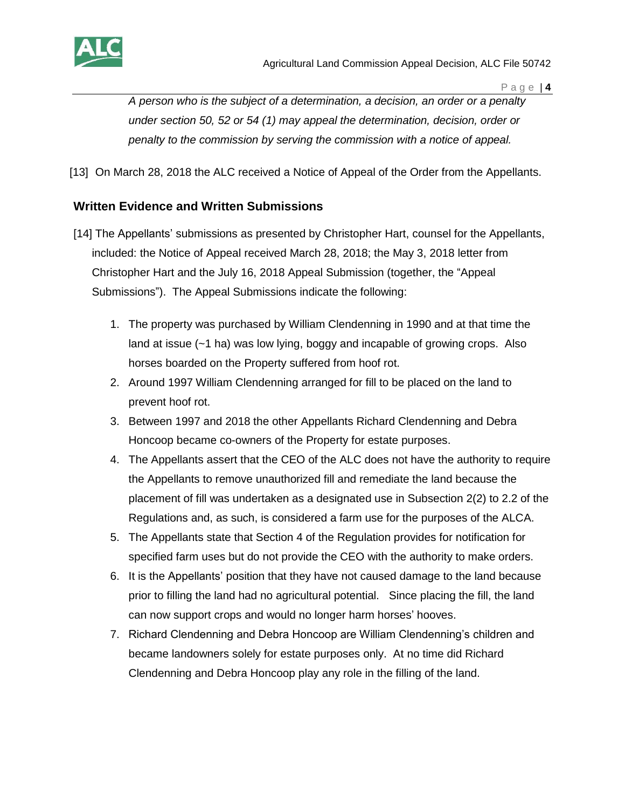

*A person who is the subject of a determination, a decision, an order or a penalty under section 50, 52 or 54 (1) may appeal the determination, decision, order or penalty to the commission by serving the commission with a notice of appeal.*

[13] On March 28, 2018 the ALC received a Notice of Appeal of the Order from the Appellants.

## **Written Evidence and Written Submissions**

- [14] The Appellants' submissions as presented by Christopher Hart, counsel for the Appellants, included: the Notice of Appeal received March 28, 2018; the May 3, 2018 letter from Christopher Hart and the July 16, 2018 Appeal Submission (together, the "Appeal Submissions"). The Appeal Submissions indicate the following:
	- 1. The property was purchased by William Clendenning in 1990 and at that time the land at issue (~1 ha) was low lying, boggy and incapable of growing crops. Also horses boarded on the Property suffered from hoof rot.
	- 2. Around 1997 William Clendenning arranged for fill to be placed on the land to prevent hoof rot.
	- 3. Between 1997 and 2018 the other Appellants Richard Clendenning and Debra Honcoop became co-owners of the Property for estate purposes.
	- 4. The Appellants assert that the CEO of the ALC does not have the authority to require the Appellants to remove unauthorized fill and remediate the land because the placement of fill was undertaken as a designated use in Subsection 2(2) to 2.2 of the Regulations and, as such, is considered a farm use for the purposes of the ALCA.
	- 5. The Appellants state that Section 4 of the Regulation provides for notification for specified farm uses but do not provide the CEO with the authority to make orders.
	- 6. It is the Appellants' position that they have not caused damage to the land because prior to filling the land had no agricultural potential. Since placing the fill, the land can now support crops and would no longer harm horses' hooves.
	- 7. Richard Clendenning and Debra Honcoop are William Clendenning's children and became landowners solely for estate purposes only. At no time did Richard Clendenning and Debra Honcoop play any role in the filling of the land.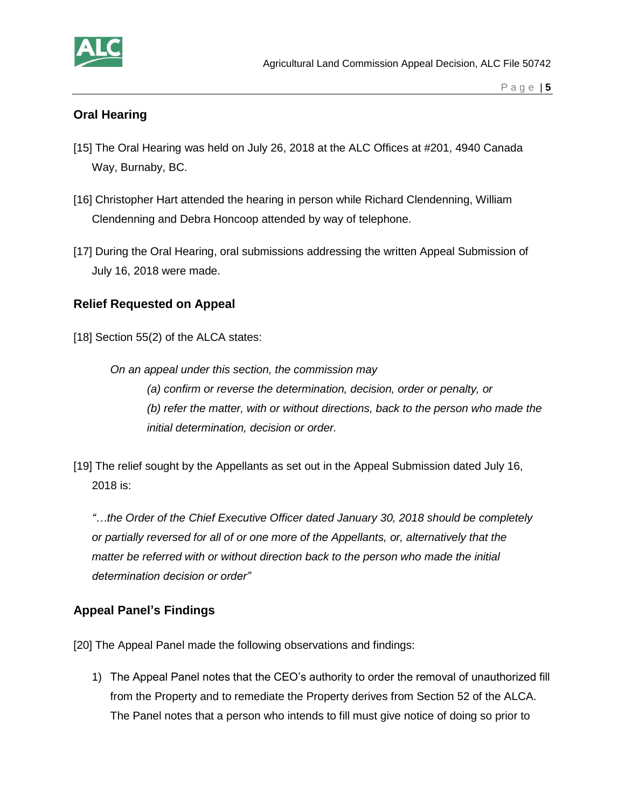

## **Oral Hearing**

- [15] The Oral Hearing was held on July 26, 2018 at the ALC Offices at #201, 4940 Canada Way, Burnaby, BC.
- [16] Christopher Hart attended the hearing in person while Richard Clendenning, William Clendenning and Debra Honcoop attended by way of telephone.
- [17] During the Oral Hearing, oral submissions addressing the written Appeal Submission of July 16, 2018 were made.

#### **Relief Requested on Appeal**

[18] Section 55(2) of the ALCA states:

*On an appeal under this section, the commission may (a) confirm or reverse the determination, decision, order or penalty, or (b) refer the matter, with or without directions, back to the person who made the initial determination, decision or order.*

[19] The relief sought by the Appellants as set out in the Appeal Submission dated July 16, 2018 is:

*"…the Order of the Chief Executive Officer dated January 30, 2018 should be completely or partially reversed for all of or one more of the Appellants, or, alternatively that the matter be referred with or without direction back to the person who made the initial determination decision or order"* 

#### **Appeal Panel's Findings**

[20] The Appeal Panel made the following observations and findings:

1) The Appeal Panel notes that the CEO's authority to order the removal of unauthorized fill from the Property and to remediate the Property derives from Section 52 of the ALCA. The Panel notes that a person who intends to fill must give notice of doing so prior to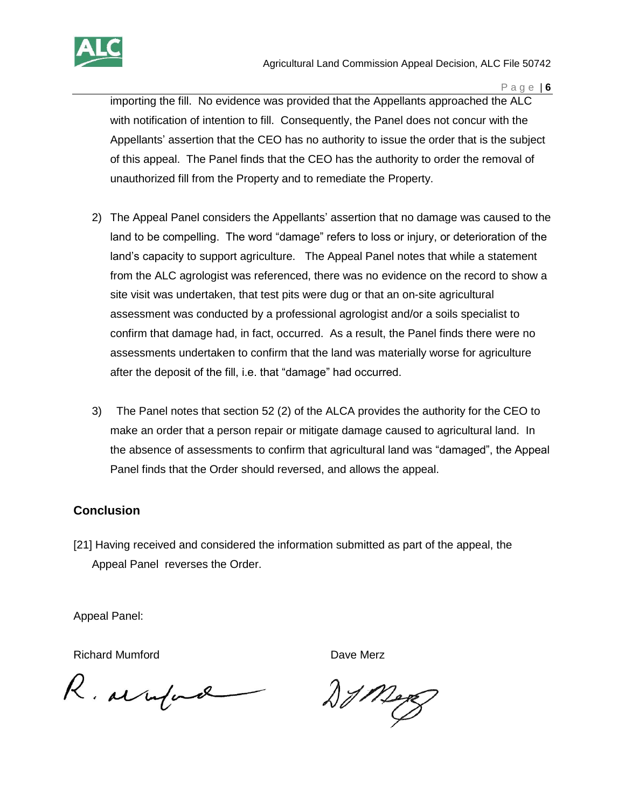

importing the fill. No evidence was provided that the Appellants approached the ALC with notification of intention to fill. Consequently, the Panel does not concur with the Appellants' assertion that the CEO has no authority to issue the order that is the subject of this appeal. The Panel finds that the CEO has the authority to order the removal of unauthorized fill from the Property and to remediate the Property.

- 2) The Appeal Panel considers the Appellants' assertion that no damage was caused to the land to be compelling. The word "damage" refers to loss or injury, or deterioration of the land's capacity to support agriculture. The Appeal Panel notes that while a statement from the ALC agrologist was referenced, there was no evidence on the record to show a site visit was undertaken, that test pits were dug or that an on-site agricultural assessment was conducted by a professional agrologist and/or a soils specialist to confirm that damage had, in fact, occurred. As a result, the Panel finds there were no assessments undertaken to confirm that the land was materially worse for agriculture after the deposit of the fill, i.e. that "damage" had occurred.
- 3) The Panel notes that section 52 (2) of the ALCA provides the authority for the CEO to make an order that a person repair or mitigate damage caused to agricultural land. In the absence of assessments to confirm that agricultural land was "damaged", the Appeal Panel finds that the Order should reversed, and allows the appeal.

## **Conclusion**

[21] Having received and considered the information submitted as part of the appeal, the Appeal Panel reverses the Order.

Appeal Panel:

Richard Mumford **Dave Merz** 

R. armford

 $27$